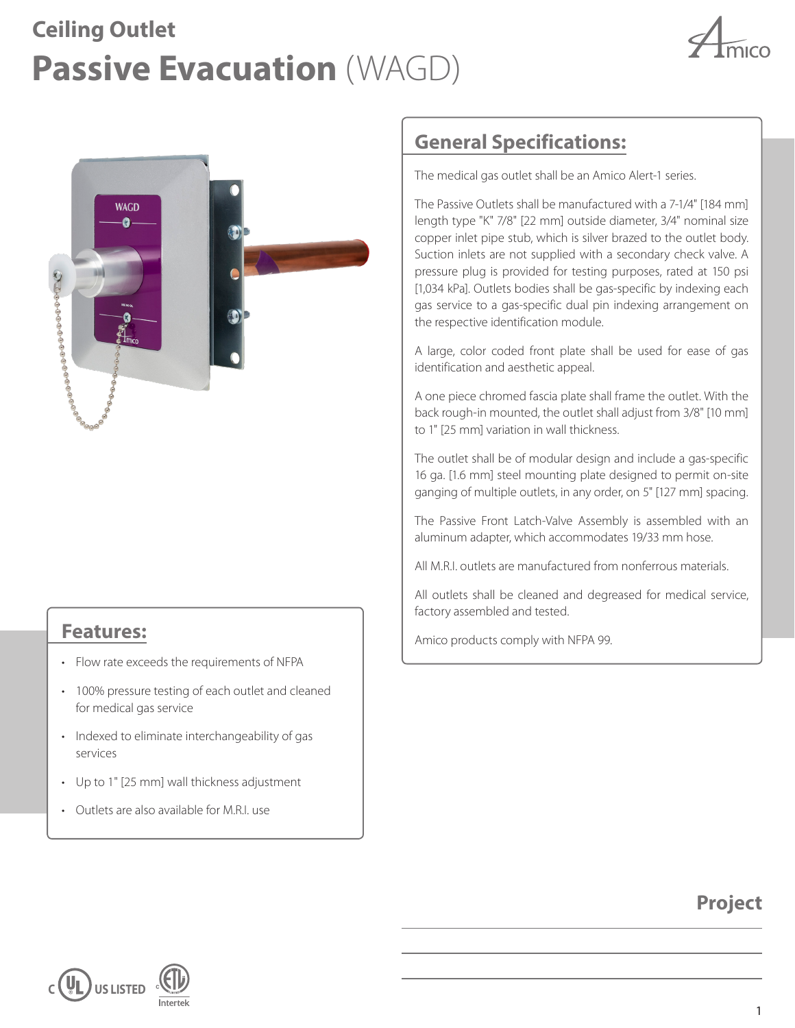# **Passive Evacuation** (WAGD) **Ceiling Outlet**





### **Features:**

- Flow rate exceeds the requirements of NFPA
- 100% pressure testing of each outlet and cleaned for medical gas service
- Indexed to eliminate interchangeability of gas services
- Up to 1" [25 mm] wall thickness adjustment
- Outlets are also available for M.R.I. use

## **General Specifications:**

The medical gas outlet shall be an Amico Alert-1 series.

The Passive Outlets shall be manufactured with a 7-1/4" [184 mm] length type "K" 7/8" [22 mm] outside diameter, 3/4" nominal size copper inlet pipe stub, which is silver brazed to the outlet body. Suction inlets are not supplied with a secondary check valve. A pressure plug is provided for testing purposes, rated at 150 psi [1,034 kPa]. Outlets bodies shall be gas-specific by indexing each gas service to a gas-specific dual pin indexing arrangement on the respective identification module.

A large, color coded front plate shall be used for ease of gas identification and aesthetic appeal.

A one piece chromed fascia plate shall frame the outlet. With the back rough-in mounted, the outlet shall adjust from 3/8" [10 mm] to 1" [25 mm] variation in wall thickness.

The outlet shall be of modular design and include a gas-specific 16 ga. [1.6 mm] steel mounting plate designed to permit on-site ganging of multiple outlets, in any order, on 5" [127 mm] spacing.

The Passive Front Latch-Valve Assembly is assembled with an aluminum adapter, which accommodates 19/33 mm hose.

All M.R.I. outlets are manufactured from nonferrous materials.

All outlets shall be cleaned and degreased for medical service, factory assembled and tested.

Amico products comply with NFPA 99.

## **Project**